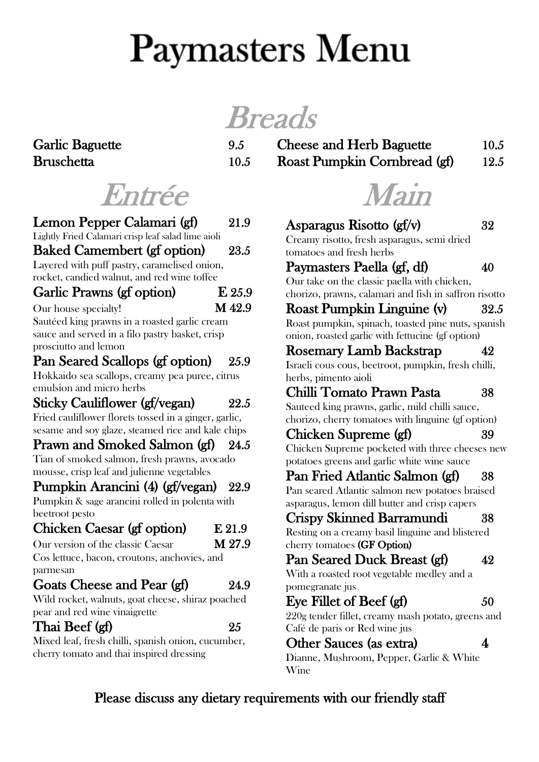# **Paymasters Menu**

**Breads** 

| <b>Garlic Baguette</b> |      | <b>Cheese and Herb Baguette</b> | 10.5 |
|------------------------|------|---------------------------------|------|
| Bruschetta             | 10.5 | Roast Pumpkin Cornbread (gf)    | 12.5 |

## Entrée

| Lemon Pepper Calamari (gf)                                                               | 21.9     |
|------------------------------------------------------------------------------------------|----------|
| Lightly Fried Calamari crisp leaf salad lime aioli<br><b>Baked Camembert (gf option)</b> | 23.5     |
| Layered with puff pastry, caramelised onion,                                             |          |
| rocket, candied walnut, and red wine toffee                                              |          |
| Garlic Prawns (gf option)                                                                | $E$ 25.9 |
| Our house specialty!                                                                     | M 42.9   |
| Sautéed king prawns in a roasted garlic cream                                            |          |
| sauce and served in a filo pastry basket, crisp                                          |          |
| prosciutto and lemon                                                                     |          |
| Pan Seared Scallops (gf option)                                                          | 25.9     |
| Hokkaido sea scallops, creamy pea puree, citrus                                          |          |
| emulsion and micro herbs                                                                 |          |
| <b>Sticky Cauliflower (gf/vegan)</b>                                                     | 22.5     |
| Fried cauliflower florets tossed in a ginger, garlic,                                    |          |
| sesame and soy glaze, steamed rice and kale chips                                        |          |
| Prawn and Smoked Salmon (gf)                                                             | 24.5     |
| Tian of smoked salmon, fresh prawns, avocado                                             |          |
| mousse, crisp leaf and julienne vegetables                                               |          |
| Pumpkin Arancini (4) (gf/vegan)                                                          | 22.9     |
| Pumpkin & sage arancini rolled in polenta with                                           |          |
| beetroot pesto                                                                           |          |
| Chicken Caesar (gf option)                                                               | E 21.9   |
| Our version of the classic Caesar                                                        | M 27.9   |
| Cos lettuce, bacon, croutons, anchovies, and                                             |          |
| parmesan                                                                                 |          |
| Goats Cheese and Pear (gf)                                                               | 24.9     |
| Wild rocket, walnuts, goat cheese, shiraz poached                                        |          |
| pear and red wine vinaigrette                                                            |          |
| Thai Beef (gf)                                                                           | 25       |
| Mixed leaf, fresh chilli, spanish onion, cucumber,                                       |          |
| cherry tomato and thai inspired dressing                                                 |          |
|                                                                                          |          |

Main

| Asparagus Risotto (gf/v)                              | 32   |  |
|-------------------------------------------------------|------|--|
| Creamy risotto, fresh asparagus, semi dried           |      |  |
| tomatoes and fresh herbs                              |      |  |
| Paymasters Paella (gf, df)                            | 40   |  |
| Our take on the classic paella with chicken,          |      |  |
| chorizo, prawns, calamari and fish in saffron risotto |      |  |
| Roast Pumpkin Linguine (v)                            | 32.5 |  |
| Roast pumpkin, spinach, toasted pine nuts, spanish    |      |  |
| onion, roasted garlic with fettucine (gf option)      |      |  |
| <b>Rosemary Lamb Backstrap</b>                        | 42   |  |
| Israeli cous cous, beetroot, pumpkin, fresh chilli,   |      |  |
| herbs, pimento aioli                                  |      |  |
| Chilli Tomato Prawn Pasta                             | 38   |  |
| Sauteed king prawns, garlic, mild chilli sauce,       |      |  |
| chorizo, cherry tomatoes with linguine (gf option)    |      |  |
| Chicken Supreme (gf)                                  | 39   |  |
| Chicken Supreme pocketed with three cheeses new       |      |  |
| potatoes greens and garlic white wine sauce           |      |  |
| Pan Fried Atlantic Salmon (gf)                        | 38   |  |
| Pan seared Atlantic salmon new potatoes braised       |      |  |
| asparagus, lemon dill butter and crisp capers         |      |  |
| Crispy Skinned Barramundi                             | 38   |  |
| Resting on a creamy basil linguine and blistered      |      |  |
| cherry tomatoes (GF Option)                           |      |  |
| Pan Seared Duck Breast (gf)                           | 42   |  |
| With a roasted root vegetable medley and a            |      |  |
| pomegranate jus                                       |      |  |
| Eye Fillet of Beef (gf)                               | 50   |  |
| 220g tender fillet, creamy mash potato, greens and    |      |  |
| Café de paris or Red wine jus                         |      |  |
| Other Sauces (as extra)                               | 4    |  |
| Dianne, Mushroom, Pepper, Garlic & White              |      |  |
| Wine                                                  |      |  |

### Please discuss any dietary requirements with our friendly staff